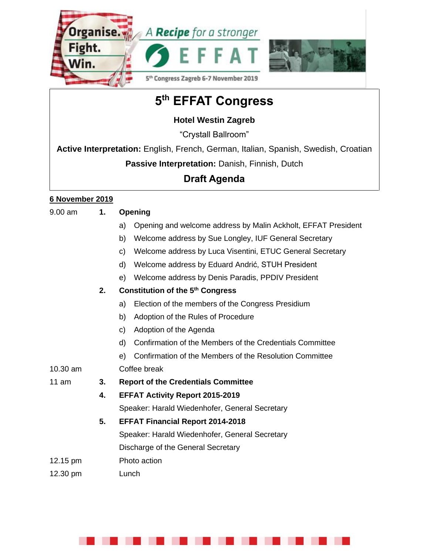



# **5 th EFFAT Congress**

## **Hotel Westin Zagreb**

"Crystall Ballroom"

**Active Interpretation:** English, French, German, Italian, Spanish, Swedish, Croatian

**Passive Interpretation:** Danish, Finnish, Dutch

## **Draft Agenda**

### **6 November 2019**

| $9.00$ am | 1. | Opening                                                             |
|-----------|----|---------------------------------------------------------------------|
|           |    | Opening and welcome address by Malin Ackholt, EFFAT President<br>a) |
|           |    | Welcome address by Sue Longley, IUF General Secretary<br>b)         |
|           |    | Welcome address by Luca Visentini, ETUC General Secretary<br>C)     |
|           |    | Welcome address by Eduard Andrić, STUH President<br>d)              |
|           |    | Welcome address by Denis Paradis, PPDIV President<br>e)             |
|           | 2. | <b>Constitution of the 5th Congress</b>                             |
|           |    | Election of the members of the Congress Presidium<br>a)             |
|           |    | Adoption of the Rules of Procedure<br>b)                            |
|           |    | Adoption of the Agenda<br>C)                                        |
|           |    | d)<br>Confirmation of the Members of the Credentials Committee      |
|           |    | Confirmation of the Members of the Resolution Committee<br>e)       |
| 10.30 am  |    | Coffee break                                                        |
| 11 am     | 3. | <b>Report of the Credentials Committee</b>                          |
|           | 4. | <b>EFFAT Activity Report 2015-2019</b>                              |
|           |    | Speaker: Harald Wiedenhofer, General Secretary                      |
|           | 5. | <b>EFFAT Financial Report 2014-2018</b>                             |
|           |    | Speaker: Harald Wiedenhofer, General Secretary                      |
|           |    | Discharge of the General Secretary                                  |
| 12.15 pm  |    | Photo action                                                        |
| 12.30 pm  |    | Lunch                                                               |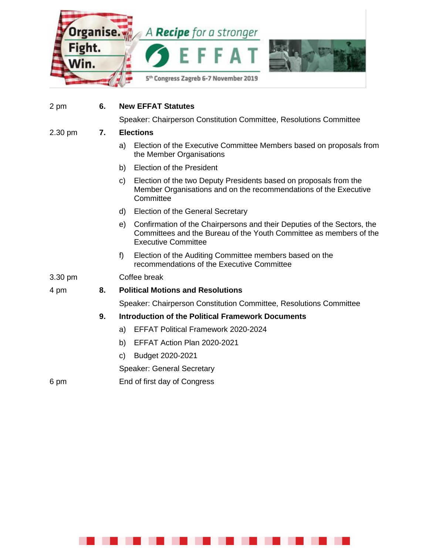

the Member Organisations

2 pm **6. New EFFAT Statutes**

2.30 pm **7. Elections**

|         |    | <b>Election of the President</b><br>b)                                                                                                                                            |
|---------|----|-----------------------------------------------------------------------------------------------------------------------------------------------------------------------------------|
|         |    | Election of the two Deputy Presidents based on proposals from the<br>C)<br>Member Organisations and on the recommendations of the Executive<br>Committee                          |
|         |    | Election of the General Secretary<br>d)                                                                                                                                           |
|         |    | Confirmation of the Chairpersons and their Deputies of the Sectors, the<br>e)<br>Committees and the Bureau of the Youth Committee as members of the<br><b>Executive Committee</b> |
|         |    | f)<br>Election of the Auditing Committee members based on the<br>recommendations of the Executive Committee                                                                       |
| 3.30 pm |    | Coffee break                                                                                                                                                                      |
| 4 pm    | 8. | <b>Political Motions and Resolutions</b>                                                                                                                                          |
|         |    | Speaker: Chairperson Constitution Committee, Resolutions Committee                                                                                                                |
|         | 9. | <b>Introduction of the Political Framework Documents</b>                                                                                                                          |
|         |    | <b>EFFAT Political Framework 2020-2024</b><br>a)                                                                                                                                  |
|         |    | EFFAT Action Plan 2020-2021<br>b)                                                                                                                                                 |
|         |    | Budget 2020-2021<br>C)                                                                                                                                                            |
|         |    | <b>Speaker: General Secretary</b>                                                                                                                                                 |
| 6 pm    |    | End of first day of Congress                                                                                                                                                      |

Speaker: Chairperson Constitution Committee, Resolutions Committee

a) Election of the Executive Committee Members based on proposals from

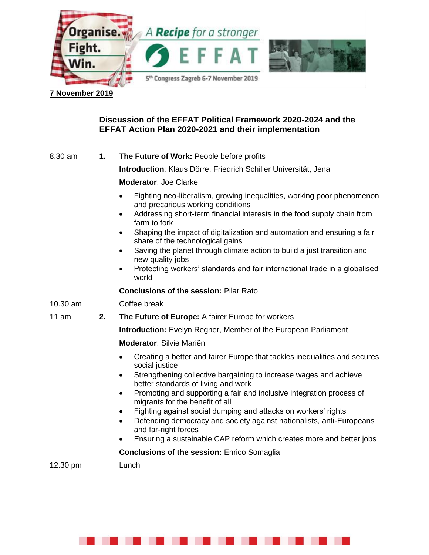

#### **7 November 2019**

#### **Discussion of the EFFAT Political Framework 2020-2024 and the EFFAT Action Plan 2020-2021 and their implementation**

8.30 am **1. The Future of Work:** People before profits

**Introduction**: Klaus Dörre, Friedrich Schiller Universität, Jena

**Moderator**: Joe Clarke

- Fighting neo-liberalism, growing inequalities, working poor phenomenon and precarious working conditions
- Addressing short-term financial interests in the food supply chain from farm to fork
- Shaping the impact of digitalization and automation and ensuring a fair share of the technological gains
- Saving the planet through climate action to build a just transition and new quality jobs
- Protecting workers' standards and fair international trade in a globalised world

**Conclusions of the session:** Pilar Rato

10.30 am Coffee break

#### 11 am **2. The Future of Europe:** A fairer Europe for workers

**Introduction:** Evelyn Regner, Member of the European Parliament

**Moderator**: Silvie Mariën

- Creating a better and fairer Europe that tackles inequalities and secures social justice
- Strengthening collective bargaining to increase wages and achieve better standards of living and work
- Promoting and supporting a fair and inclusive integration process of migrants for the benefit of all
- Fighting against social dumping and attacks on workers' rights
- Defending democracy and society against nationalists, anti-Europeans and far-right forces
- Ensuring a sustainable CAP reform which creates more and better jobs

**Conclusions of the session:** Enrico Somaglia

12.30 pm Lunch